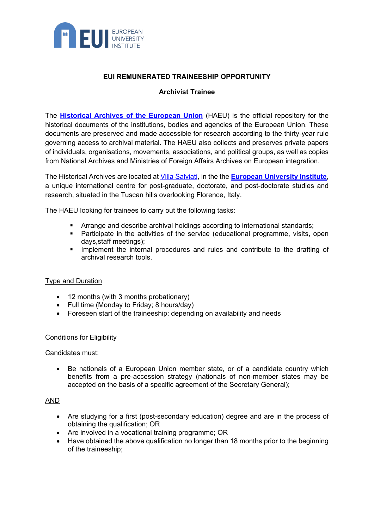

# **EUI REMUNERATED TRAINEESHIP OPPORTUNITY**

# **Archivist Trainee**

The **[Historical Archives of the European Union](https://www.eui.eu/en/academic-units/historical-archives-of-the-european-union/about-the-historical-archives)** (HAEU) is the official repository for the historical documents of the institutions, bodies and agencies of the European Union. These documents are preserved and made accessible for research according to the thirty-year rule governing access to archival material. The HAEU also collects and preserves private papers of individuals, organisations, movements, associations, and political groups, as well as copies from National Archives and Ministries of Foreign Affairs Archives on European integration.

The Historical Archives are located at [Villa Salviati,](https://www.eui.eu/ServicesAndAdmin/LogisticsService/EUICampus/VillaSalviati) in the the **[European University Institute](https://www.eui.eu/)**, a unique international centre for post-graduate, doctorate, and post-doctorate studies and research, situated in the Tuscan hills overlooking Florence, Italy.

The HAEU looking for trainees to carry out the following tasks:

- Arrange and describe archival holdings according to international standards;
- **Participate in the activities of the service (educational programme, visits, open** days,staff meetings);
- **IMPLEMENT INCOCOGOTALLY** Implement the internal procedures and rules and contribute to the drafting of archival research tools.

## Type and Duration

- 12 months (with 3 months probationary)
- Full time (Monday to Friday; 8 hours/day)
- Foreseen start of the traineeship: depending on availability and needs

## Conditions for Eligibility

Candidates must:

• Be nationals of a European Union member state, or of a candidate country which benefits from a pre-accession strategy (nationals of non-member states may be accepted on the basis of a specific agreement of the Secretary General);

## AND

- Are studying for a first (post-secondary education) degree and are in the process of obtaining the qualification; OR
- Are involved in a vocational training programme; OR
- Have obtained the above qualification no longer than 18 months prior to the beginning of the traineeship;